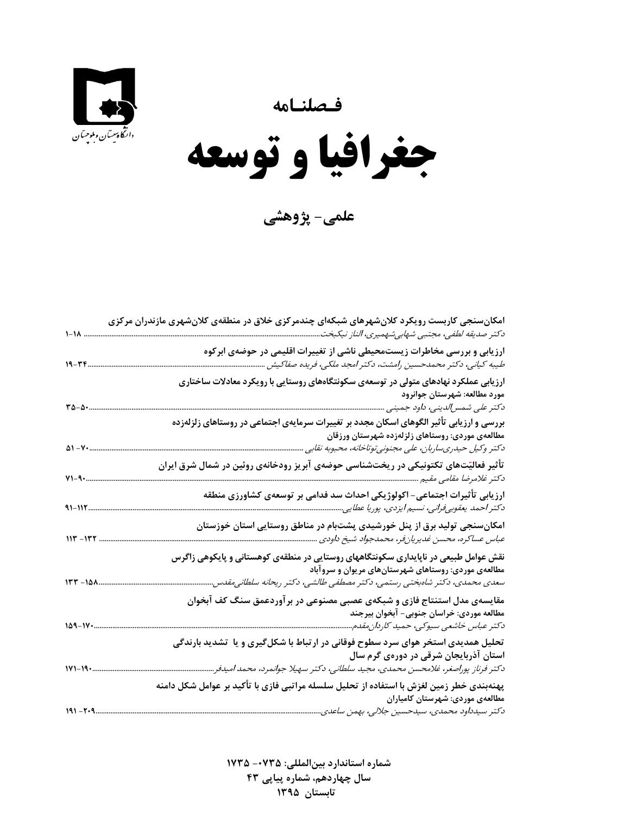



 $\overline{\phantom{a}}$ **جغرافيا و توسعه** 

**علمي- پژوهشي**

|                       | امکانسنجی کاربست رویکرد کلانشهرهای شبکهای چندمرکزی خلاق در منطقهی کلانشهری مازندران مرکزی<br>دكتر صديقه لطفي، مجتبي شهابيشهميري، الناز نيكبخت.                                                                          |
|-----------------------|-------------------------------------------------------------------------------------------------------------------------------------------------------------------------------------------------------------------------|
| $19 - 77$             | ارزیابی و بررسی مخاطرات زیستمحیطی ناشی از تغییرات اقلیمی در حوضهی ابرکوه<br>طیبه کیانی، دکتر محمدحسین رامشت، دکتر امجد ملکی، فریده صفاکیش                                                                               |
| $r_{\Delta-\Delta}$ . | ارزیابی عملکرد نهادهای متولی در توسعهی سکونتگاههای روستایی با رویکرد معادلات ساختاری<br>مورد مطالعه: شهرستان جوانرود<br>دکتر علی شمس لدینی، داود جمینی                                                                  |
| $\Delta 1 - V$        | بررسی و ارزیابی تأثیر الگوهای اسکان مجدد بر تغییرات سرمایهی اجتماعی در روستاهای زلزلهزده<br>مطالعهى موردى: روستاهاى زلزلهزده شهرستان ورزقان<br>دکتر وکیل حیدریساربان، علی مجنونیتوتاخانه، محبوبه نقابی                  |
| $V1 - 9$              | تأثیر فعالیّتهای تکتونیکی در ریختشناسی حوضهی آبریز رودخانهی روئین در شمال شرق ایران<br>دکتر غلامرضا مقامی مقیم                                                                                                          |
| $41 - 115$            | ارزیابی تأثیرات اجتماعی- اکولوژیکی احداث سد فدامی بر توسعهی کشاورزی منطقه<br>دكتر احمد يعقوبىفرانى، نسيم ايزدى، پوريا عطايى                                                                                             |
| $117 - 177$           | امکانسنجی تولید برق از پنل خورشیدی پشتبام در مناطق روستایی استان خوزستان<br>عباس عساكره، محسن غديريانِفر، محمدجواد شيخ داودي                                                                                            |
| $157 - 101$           | نقش عوامل طبیعی در ناپایداری سکونتگاههای روستایی در منطقهی کوهستانی و پایکوهی زاگرس<br>مطالعهی موردی: روستاهای شهرستانهای مریوان و سروآباد<br>سعدی محمدی، دکتر شاەبختی رستمی، دکتر مصطفی طالشی، دکتر ریحانه سلطانی،قدس. |
| $109 - 11.$           | مقایسهی مدل استنتاج فازی و شبکهی عصبی مصنوعی در برآوردعمق سنگ کف آبخوان<br>مطالعه موردي: خراسان جنوبي- آبخوان بيرجند<br>دكتر عباس خاشعى سيوكى، حميد كاردان مقدم                                                         |
| $111 - 19.$           | تحلیل همدیدی استخر هوای سرد سطوح فوقانی در ارتباط با شکلگیری و یا تشدید بارندگی<br>استان آذربایجان شرقی در دورهی گرم سال<br>دكتر فرناز پوراصغر، غلامحسن محمدى، مجيد سلطاني، دكتر سهيلا جوانمرد، محمد اميدفر             |
| $191 - 7.9$           | پهنهبندی خطر زمین لغزش با استفاده از تحلیل سلسله مراتبی فازی با تأکید بر عوامل شکل دامنه<br>مطالعهی موردی: شهرستان کامیاران<br>دكتر سيدداود محمدى، سيدحسين جلالي، بهمن ساعدى                                            |

 **شماره استاندارد بينالمللي: -0735 1735 سال چهاردهم، شماره پياپي 43 تابستان<sup>1395</sup>**